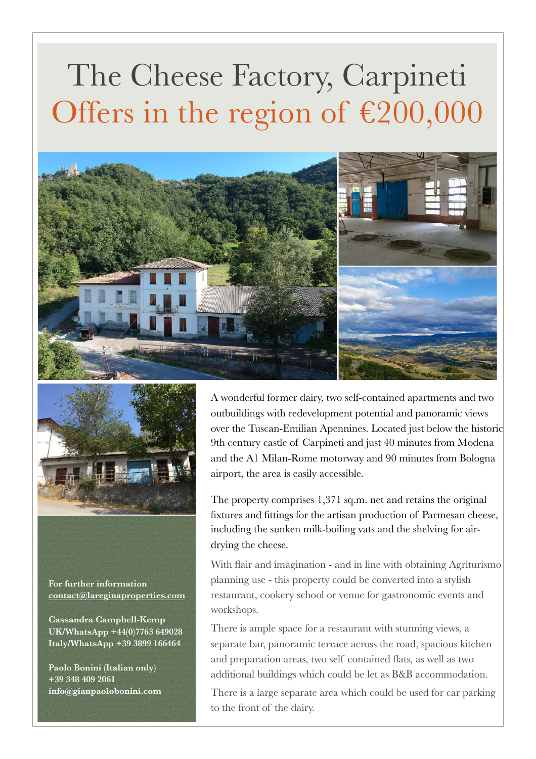## The Cheese Factory, Carpineti Offers in the region of  $£200,000$





**For further information [contact@lareginaproperties.com](mailto:contact@lareginaproperties.com)**

**Cassandra Campbell-Kemp UK/WhatsApp +44(0)7763 649028 Italy/WhatsApp +39 3899 166464** 

**Paolo Bonini (Italian only) +39 348 409 2061 [info@gianpaolobonini.com](http://www.apple.com)** A wonderful former dairy, two self-contained apartments and two outbuildings with redevelopment potential and panoramic views over the Tuscan-Emilian Apennines. Located just below the historic 9th century castle of Carpineti and just 40 minutes from Modena and the A1 Milan-Rome motorway and 90 minutes from Bologna airport, the area is easily accessible.

The property comprises 1,371 sq.m. net and retains the original fixtures and fittings for the artisan production of Parmesan cheese, including the sunken milk-boiling vats and the shelving for airdrying the cheese.

With flair and imagination - and in line with obtaining Agriturismo planning use - this property could be converted into a stylish restaurant, cookery school or venue for gastronomic events and workshops.

There is ample space for a restaurant with stunning views, a separate bar, panoramic terrace across the road, spacious kitchen and preparation areas, two self contained flats, as well as two additional buildings which could be let as B&B accommodation.

There is a large separate area which could be used for car parking to the front of the dairy.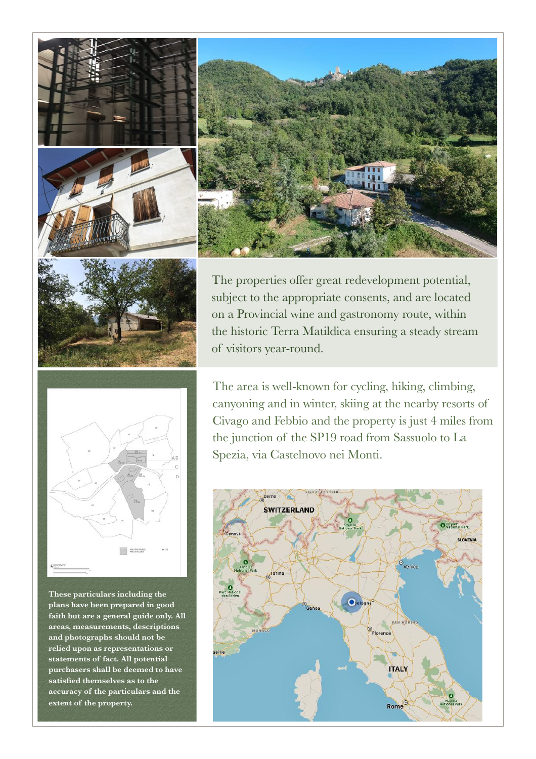





The properties offer great redevelopment potential, subject to the appropriate consents, and are located on a Provincial wine and gastronomy route, within the historic Terra Matildica ensuring a steady stream of visitors year-round.



**These particulars including the plans have been prepared in good faith but are a general guide only. All areas, measurements, descriptions and photographs should not be relied upon as representations or statements of fact. All potential purchasers shall be deemed to have satisfied themselves as to the accuracy of the particulars and the extent of the property.** 

The area is well-known for cycling, hiking, climbing, canyoning and in winter, skiing at the nearby resorts of Civago and Febbio and the property is just 4 miles from the junction of the SP19 road from Sassuolo to La Spezia, via Castelnovo nei Monti.

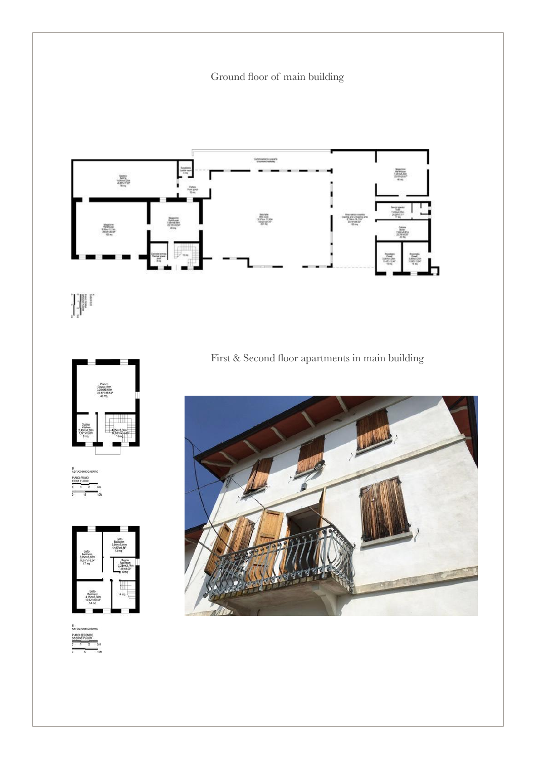Ground floor of main building



 $\begin{picture}(130,10) \put(0,0){\line(1,0){15}} \put(15,0){\line(1,0){15}} \put(15,0){\line(1,0){15}} \put(15,0){\line(1,0){15}} \put(15,0){\line(1,0){15}} \put(15,0){\line(1,0){15}} \put(15,0){\line(1,0){15}} \put(15,0){\line(1,0){15}} \put(15,0){\line(1,0){15}} \put(15,0){\line(1,0){15}} \put(15,0){\line(1,0){15}} \put(15,0){\line($ 







First & Second floor apartments in main building